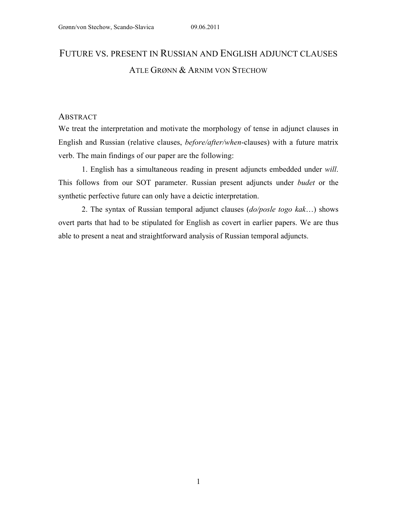# FUTURE VS. PRESENT IN RUSSIAN AND ENGLISH ADJUNCT CLAUSES ATLE GRØNN & ARNIM VON STECHOW

## **ABSTRACT**

We treat the interpretation and motivate the morphology of tense in adjunct clauses in English and Russian (relative clauses, *before/after/when*-clauses) with a future matrix verb. The main findings of our paper are the following:

1. English has a simultaneous reading in present adjuncts embedded under *will*. This follows from our SOT parameter. Russian present adjuncts under *budet* or the synthetic perfective future can only have a deictic interpretation.

2. The syntax of Russian temporal adjunct clauses (*do/posle togo kak*…) shows overt parts that had to be stipulated for English as covert in earlier papers. We are thus able to present a neat and straightforward analysis of Russian temporal adjuncts.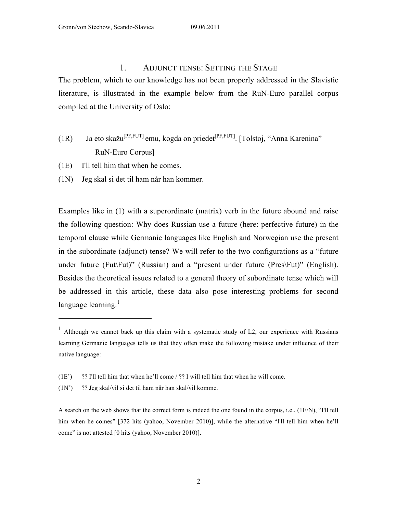## 1. ADJUNCT TENSE: SETTING THE STAGE

The problem, which to our knowledge has not been properly addressed in the Slavistic literature, is illustrated in the example below from the RuN-Euro parallel corpus compiled at the University of Oslo:

- (1R) Ja eto skažu<sup>[PF,FUT]</sup> emu, kogda on priedet<sup>[PF,FUT]</sup>. [Tolstoj, "Anna Karenina" RuN-Euro Corpus]
- (1E) I'll tell him that when he comes.

 $\overline{a}$ 

(1N) Jeg skal si det til ham når han kommer.

Examples like in (1) with a superordinate (matrix) verb in the future abound and raise the following question: Why does Russian use a future (here: perfective future) in the temporal clause while Germanic languages like English and Norwegian use the present in the subordinate (adjunct) tense? We will refer to the two configurations as a "future under future (Fut\Fut)" (Russian) and a "present under future (Pres\Fut)" (English). Besides the theoretical issues related to a general theory of subordinate tense which will be addressed in this article, these data also pose interesting problems for second language learning. $<sup>1</sup>$ </sup>

<sup>&</sup>lt;sup>1</sup> Although we cannot back up this claim with a systematic study of L2, our experience with Russians learning Germanic languages tells us that they often make the following mistake under influence of their native language:

<sup>(1</sup>E') ?? I'll tell him that when he'll come / ?? I will tell him that when he will come.

<sup>(1</sup>N') ?? Jeg skal/vil si det til ham når han skal/vil komme.

A search on the web shows that the correct form is indeed the one found in the corpus, i.e., (1E/N), "I'll tell him when he comes" [372 hits (yahoo, November 2010)], while the alternative "I'll tell him when he'll come" is not attested [0 hits (yahoo, November 2010)].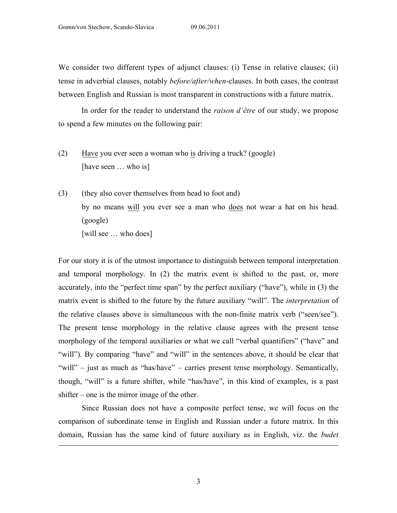We consider two different types of adjunct clauses: (i) Tense in relative clauses; (ii) tense in adverbial clauses, notably *before/after/when*-clauses. In both cases, the contrast between English and Russian is most transparent in constructions with a future matrix.

In order for the reader to understand the *raison d'être* of our study, we propose to spend a few minutes on the following pair:

- (2) Have you ever seen a woman who is driving a truck? (google) [have seen ... who is]
- (3) (they also cover themselves from head to foot and) by no means will you ever see a man who does not wear a hat on his head. (google) [will see ... who does]

For our story it is of the utmost importance to distinguish between temporal interpretation and temporal morphology. In (2) the matrix event is shifted to the past, or, more accurately, into the "perfect time span" by the perfect auxiliary ("have"), while in (3) the matrix event is shifted to the future by the future auxiliary "will". The *interpretation* of the relative clauses above is simultaneous with the non-finite matrix verb ("seen/see"). The present tense morphology in the relative clause agrees with the present tense morphology of the temporal auxiliaries or what we call "verbal quantifiers" ("have" and "will"). By comparing "have" and "will" in the sentences above, it should be clear that "will" – just as much as "has/have" – carries present tense morphology. Semantically, though, "will" is a future shifter, while "has/have", in this kind of examples, is a past shifter – one is the mirror image of the other.

Since Russian does not have a composite perfect tense, we will focus on the comparison of subordinate tense in English and Russian under a future matrix. In this domain, Russian has the same kind of future auxiliary as in English, viz. the *budet*

 $\overline{a}$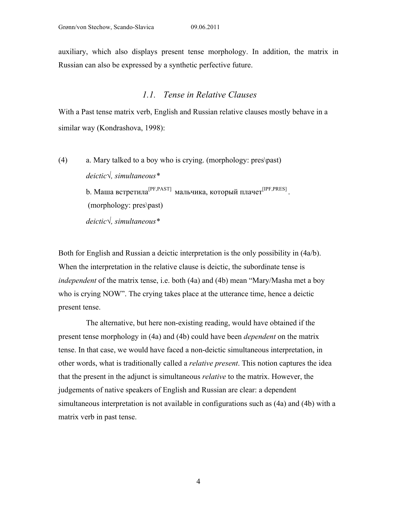auxiliary, which also displays present tense morphology. In addition, the matrix in Russian can also be expressed by a synthetic perfective future.

# *1.1. Tense in Relative Clauses*

With a Past tense matrix verb, English and Russian relative clauses mostly behave in a similar way (Kondrashova, 1998):

(4) a. Mary talked to a boy who is crying. (morphology: pres\past) *deictic√, simultaneous\** b. Маша встретила<sup>[PF,PAST]</sup> мальчика, который плачет<sup>[IPF,PRES]</sup>. (morphology: pres\past) *deictic√, simultaneous\**

Both for English and Russian a deictic interpretation is the only possibility in (4a/b). When the interpretation in the relative clause is deictic, the subordinate tense is *independent* of the matrix tense, i.e. both (4a) and (4b) mean "Mary/Masha met a boy who is crying NOW". The crying takes place at the utterance time, hence a deictic present tense.

The alternative, but here non-existing reading, would have obtained if the present tense morphology in (4a) and (4b) could have been *dependent* on the matrix tense. In that case, we would have faced a non-deictic simultaneous interpretation, in other words, what is traditionally called a *relative present*. This notion captures the idea that the present in the adjunct is simultaneous *relative* to the matrix. However, the judgements of native speakers of English and Russian are clear: a dependent simultaneous interpretation is not available in configurations such as (4a) and (4b) with a matrix verb in past tense.

4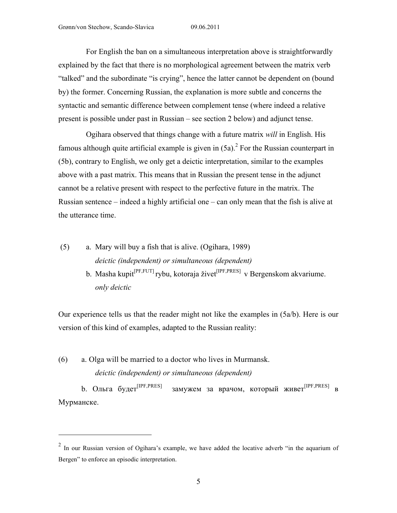For English the ban on a simultaneous interpretation above is straightforwardly explained by the fact that there is no morphological agreement between the matrix verb "talked" and the subordinate "is crying", hence the latter cannot be dependent on (bound by) the former. Concerning Russian, the explanation is more subtle and concerns the syntactic and semantic difference between complement tense (where indeed a relative present is possible under past in Russian – see section 2 below) and adjunct tense.

Ogihara observed that things change with a future matrix *will* in English. His famous although quite artificial example is given in  $(5a)$ <sup>2</sup>. For the Russian counterpart in (5b), contrary to English, we only get a deictic interpretation, similar to the examples above with a past matrix. This means that in Russian the present tense in the adjunct cannot be a relative present with respect to the perfective future in the matrix. The Russian sentence – indeed a highly artificial one – can only mean that the fish is alive at the utterance time.

- (5) a. Mary will buy a fish that is alive. (Ogihara, 1989) *deictic (independent) or simultaneous (dependent)*
	- b. Masha kupit<sup>[PF,FUT]</sup> rybu, kotoraja živet<sup>[IPF,PRES]</sup> v Bergenskom akvariume. *only deictic*

Our experience tells us that the reader might not like the examples in (5a/b). Here is our version of this kind of examples, adapted to the Russian reality:

(6) a. Olga will be married to a doctor who lives in Murmansk. *deictic (independent) or simultaneous (dependent)*

 $\overline{a}$ 

b. Ольга будет[IPF,PRES] замужем за врачом, который живет[IPF,PRES] в Мурманске.

 $2$  In our Russian version of Ogihara's example, we have added the locative adverb "in the aquarium of Bergen" to enforce an episodic interpretation.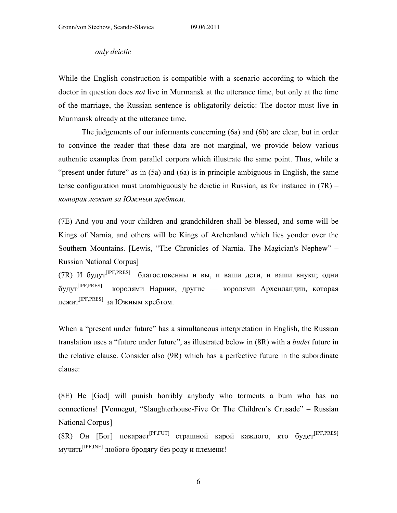#### *only deictic*

While the English construction is compatible with a scenario according to which the doctor in question does *not* live in Murmansk at the utterance time, but only at the time of the marriage, the Russian sentence is obligatorily deictic: The doctor must live in Murmansk already at the utterance time.

The judgements of our informants concerning (6a) and (6b) are clear, but in order to convince the reader that these data are not marginal, we provide below various authentic examples from parallel corpora which illustrate the same point. Thus, while a "present under future" as in (5a) and (6a) is in principle ambiguous in English, the same tense configuration must unambiguously be deictic in Russian, as for instance in (7R) – *которая лежит за Южным хребтом*.

(7E) And you and your children and grandchildren shall be blessed, and some will be Kings of Narnia, and others will be Kings of Archenland which lies yonder over the Southern Mountains. [Lewis, "The Chronicles of Narnia. The Magician's Nephew" – Russian National Corpus]

(7R) И будут[IPF,PRES] благословенны и вы, и ваши дети, и ваши внуки; одни будут[IPF,PRES] королями Нарнии, другие — королями Архенландии, которая лежит[IPF,PRES] за Южным хребтом.

When a "present under future" has a simultaneous interpretation in English, the Russian translation uses a "future under future", as illustrated below in (8R) with a *budet* future in the relative clause. Consider also (9R) which has a perfective future in the subordinate clause:

(8E) He [God] will punish horribly anybody who torments a bum who has no connections! [Vonnegut, "Slaughterhouse-Five Or The Children's Crusade" – Russian National Corpus]

(8R) Он [Бог] покарает<sup>[PF,FUT]</sup> страшной карой каждого, кто будет<sup>[IPF,PRES]</sup> мучить[IPF,INF] любого бродягу без роду и племени!

6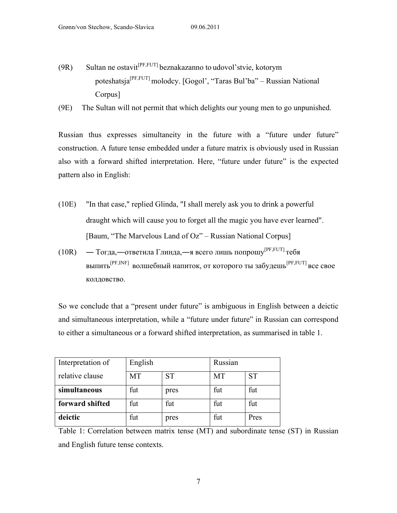- (9R) Sultan ne ostavit<sup>[PF,FUT]</sup> beznakazanno to udovol'stvie, kotorym poteshatsja[PF,FUT] molodcy. [Gogol', "Taras Bul'ba" – Russian National Corpus]
- (9E) The Sultan will not permit that which delights our young men to go unpunished.

Russian thus expresses simultaneity in the future with a "future under future" construction. A future tense embedded under a future matrix is obviously used in Russian also with a forward shifted interpretation. Here, "future under future" is the expected pattern also in English:

- (10E) "In that case," replied Glinda, "I shall merely ask you to drink a powerful draught which will cause you to forget all the magic you have ever learned". [Baum, "The Marvelous Land of Oz" – Russian National Corpus]
- (10R) Тогда,—ответила Глинда,—я всего лишь попрошу<sup>[PF,FUT]</sup> тебя выпить[PF,INF] волшебный напиток, от которого ты забудешь[PF,FUT] все свое колдовство.

So we conclude that a "present under future" is ambiguous in English between a deictic and simultaneous interpretation, while a "future under future" in Russian can correspond to either a simultaneous or a forward shifted interpretation, as summarised in table 1.

| Interpretation of | English   |           | Russian   |           |
|-------------------|-----------|-----------|-----------|-----------|
| relative clause   | <b>MT</b> | <b>ST</b> | <b>MT</b> | <b>ST</b> |
| simultaneous      | fut       | pres      | fut       | fut       |
| forward shifted   | fut       | fut       | fut       | fut       |
| deictic           | fut       | pres      | fut       | Pres      |

Table 1: Correlation between matrix tense (MT) and subordinate tense (ST) in Russian and English future tense contexts.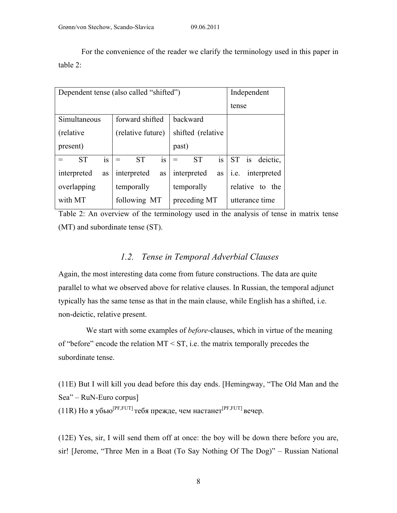For the convenience of the reader we clarify the terminology used in this paper in table 2:

| Dependent tense (also called "shifted") | Independent       |                        |                     |
|-----------------------------------------|-------------------|------------------------|---------------------|
|                                         |                   |                        | tense               |
| Simultaneous                            | forward shifted   | backward               |                     |
| (relative)                              | (relative future) | shifted (relative      |                     |
| present)                                |                   | past)                  |                     |
| is<br><b>ST</b>                         | is<br><b>ST</b>   | is<br><b>ST</b><br>$=$ | ST is deictic,      |
| interpreted<br>as                       | interpreted<br>as | interpreted<br>as      | interpreted<br>i.e. |
| overlapping                             | temporally        | temporally             | relative to the     |
| with MT                                 | following MT      | preceding MT           |                     |

Table 2: An overview of the terminology used in the analysis of tense in matrix tense (MT) and subordinate tense (ST).

# *1.2. Tense in Temporal Adverbial Clauses*

Again, the most interesting data come from future constructions. The data are quite parallel to what we observed above for relative clauses. In Russian, the temporal adjunct typically has the same tense as that in the main clause, while English has a shifted, i.e. non-deictic, relative present.

We start with some examples of *before*-clauses, which in virtue of the meaning of "before" encode the relation  $MT \leq ST$ , i.e. the matrix temporally precedes the subordinate tense.

(11E) But I will kill you dead before this day ends. [Hemingway, "The Old Man and the Sea" – RuN-Euro corpus]

(11R) Но я убью<sup>[PF,FUT]</sup> тебя прежде, чем настанет<sup>[PF,FUT]</sup> вечер.

(12E) Yes, sir, I will send them off at once: the boy will be down there before you are, sir! [Jerome, "Three Men in a Boat (To Say Nothing Of The Dog)" – Russian National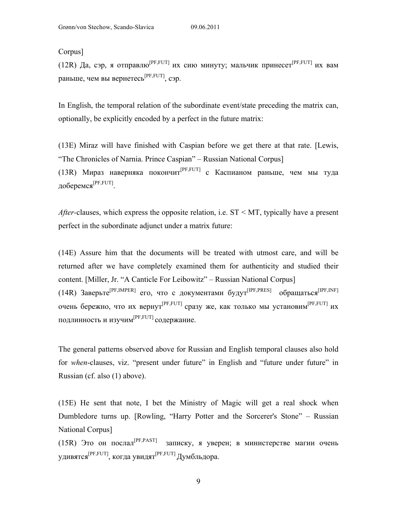Corpus]

(12R) Да, сэр, я отправлю<sup>[PF,FUT]</sup> их сию минуту; мальчик принесет<sup>[PF,FUT]</sup> их вам раньше, чем вы вернетесь<sup>[PF,FUT]</sup>, сэр.

In English, the temporal relation of the subordinate event/state preceding the matrix can, optionally, be explicitly encoded by a perfect in the future matrix:

(13E) Miraz will have finished with Caspian before we get there at that rate. [Lewis, "The Chronicles of Narnia. Prince Caspian" – Russian National Corpus] (13R) Мираз наверняка покончит<sup>[PF,FUT]</sup> с Каспианом раньше, чем мы туда доберемся<sup>[РҒ,ҒUТ]</sup>.

*After-*clauses, which express the opposite relation, i.e. ST < MT, typically have a present perfect in the subordinate adjunct under a matrix future:

(14E) Assure him that the documents will be treated with utmost care, and will be returned after we have completely examined them for authenticity and studied their content. [Miller, Jr. "A Canticle For Leibowitz" – Russian National Corpus] (14R) Заверьте<sup>[PF,IMPER]</sup> его, что с документами будут<sup>[IPF,PRES]</sup> обращаться<sup>[IPF,INF]</sup> очень бережно, что их вернут<sup>[PF,FUT]</sup> сразу же, как только мы установим<sup>[PF,FUT]</sup> их подлинность и изучим[PF,FUT] содержание.

The general patterns observed above for Russian and English temporal clauses also hold for *when*-clauses, viz. "present under future" in English and "future under future" in Russian (cf. also (1) above).

(15E) He sent that note, I bet the Ministry of Magic will get a real shock when Dumbledore turns up. [Rowling, "Harry Potter and the Sorcerer's Stone" – Russian National Corpus]

(15R) Это он послал[PF,PAST] записку, я уверен; в министерстве магии очень удивятся $^{\rm [PF,FUT]}$ , когда увидят $^{\rm [PF,FUT]}$  Думбльдора.

9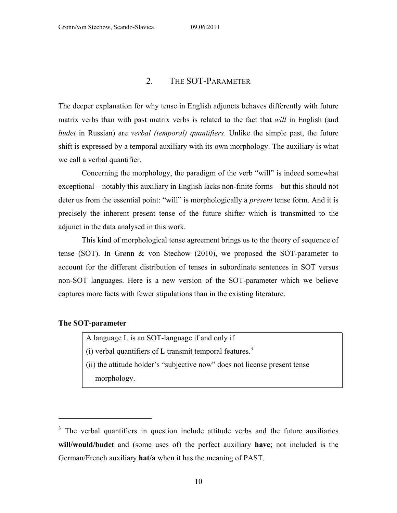# 2. THE SOT-PARAMETER

The deeper explanation for why tense in English adjuncts behaves differently with future matrix verbs than with past matrix verbs is related to the fact that *will* in English (and *budet* in Russian) are *verbal (temporal) quantifiers*. Unlike the simple past, the future shift is expressed by a temporal auxiliary with its own morphology. The auxiliary is what we call a verbal quantifier.

Concerning the morphology, the paradigm of the verb "will" is indeed somewhat exceptional – notably this auxiliary in English lacks non-finite forms – but this should not deter us from the essential point: "will" is morphologically a *present* tense form. And it is precisely the inherent present tense of the future shifter which is transmitted to the adjunct in the data analysed in this work.

This kind of morphological tense agreement brings us to the theory of sequence of tense (SOT). In Grønn & von Stechow (2010), we proposed the SOT-parameter to account for the different distribution of tenses in subordinate sentences in SOT versus non-SOT languages. Here is a new version of the SOT-parameter which we believe captures more facts with fewer stipulations than in the existing literature.

#### **The SOT-parameter**

 $\overline{a}$ 

A language L is an SOT-language if and only if

- (i) verbal quantifiers of L transmit temporal features.<sup>3</sup>
- (ii) the attitude holder's "subjective now" does not license present tense morphology.

<sup>&</sup>lt;sup>3</sup> The verbal quantifiers in question include attitude verbs and the future auxiliaries **will/would/budet** and (some uses of) the perfect auxiliary **have**; not included is the German/French auxiliary **hat/a** when it has the meaning of PAST.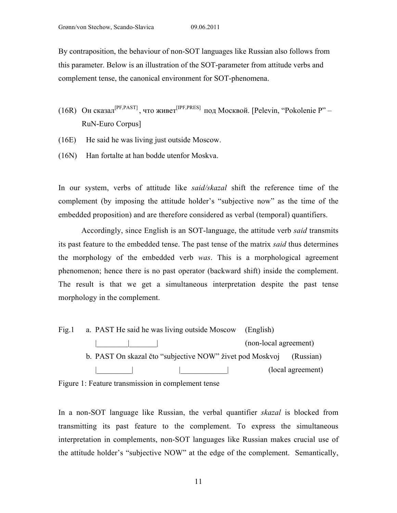By contraposition, the behaviour of non-SOT languages like Russian also follows from this parameter. Below is an illustration of the SOT-parameter from attitude verbs and complement tense, the canonical environment for SOT-phenomena.

- (16R) Он сказал<sup>[PF,PAST]</sup>, что живет<sup>[IPF,PRES]</sup> под Москвой. [Pelevin, "Pokolenie P" RuN-Euro Corpus]
- (16E) He said he was living just outside Moscow.
- (16N) Han fortalte at han bodde utenfor Moskva.

In our system, verbs of attitude like *said/skazal* shift the reference time of the complement (by imposing the attitude holder's "subjective now" as the time of the embedded proposition) and are therefore considered as verbal (temporal) quantifiers.

Accordingly, since English is an SOT-language, the attitude verb *said* transmits its past feature to the embedded tense. The past tense of the matrix *said* thus determines the morphology of the embedded verb *was*. This is a morphological agreement phenomenon; hence there is no past operator (backward shift) inside the complement. The result is that we get a simultaneous interpretation despite the past tense morphology in the complement.

Fig.1 a. PAST He said he was living outside Moscow (English) |\_\_\_\_\_\_\_\_|\_\_\_\_\_\_\_| (non-local agreement) b. PAST On skazal čto "subjective NOW" živet pod Moskvoj (Russian) (local agreement)

Figure 1: Feature transmission in complement tense

In a non-SOT language like Russian, the verbal quantifier *skazal* is blocked from transmitting its past feature to the complement. To express the simultaneous interpretation in complements, non-SOT languages like Russian makes crucial use of the attitude holder's "subjective NOW" at the edge of the complement. Semantically,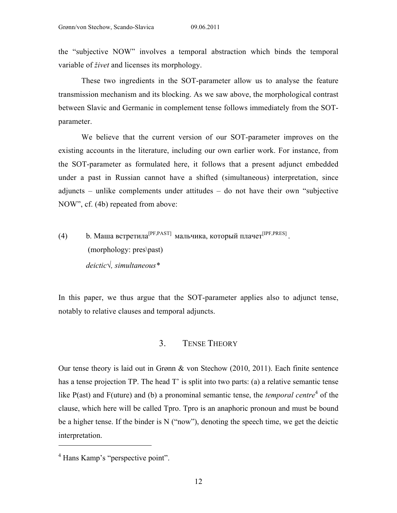the "subjective NOW" involves a temporal abstraction which binds the temporal variable of *živet* and licenses its morphology.

These two ingredients in the SOT-parameter allow us to analyse the feature transmission mechanism and its blocking. As we saw above, the morphological contrast between Slavic and Germanic in complement tense follows immediately from the SOTparameter.

We believe that the current version of our SOT-parameter improves on the existing accounts in the literature, including our own earlier work. For instance, from the SOT-parameter as formulated here, it follows that a present adjunct embedded under a past in Russian cannot have a shifted (simultaneous) interpretation, since adjuncts – unlike complements under attitudes – do not have their own "subjective NOW", cf. (4b) repeated from above:

(4) b. Маша встретила[PF,PAST] мальчика, который плачет[IPF,PRES] . (morphology: pres\past) *deictic√, simultaneous\**

In this paper, we thus argue that the SOT-parameter applies also to adjunct tense, notably to relative clauses and temporal adjuncts.

# 3. TENSE THEORY

Our tense theory is laid out in Grønn & von Stechow (2010, 2011). Each finite sentence has a tense projection TP. The head T' is split into two parts: (a) a relative semantic tense like P(ast) and F(uture) and (b) a pronominal semantic tense, the *temporal centre*<sup>4</sup> of the clause, which here will be called Tpro. Tpro is an anaphoric pronoun and must be bound be a higher tense. If the binder is N ("now"), denoting the speech time, we get the deictic interpretation.

 $\overline{a}$ 

<sup>4</sup> Hans Kamp's "perspective point".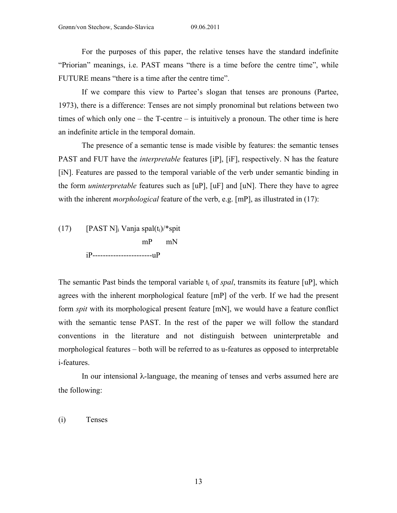For the purposes of this paper, the relative tenses have the standard indefinite "Priorian" meanings, i.e. PAST means "there is a time before the centre time", while FUTURE means "there is a time after the centre time".

If we compare this view to Partee's slogan that tenses are pronouns (Partee, 1973), there is a difference: Tenses are not simply pronominal but relations between two times of which only one – the T-centre – is intuitively a pronoun. The other time is here an indefinite article in the temporal domain.

The presence of a semantic tense is made visible by features: the semantic tenses PAST and FUT have the *interpretable* features [iP], [iF], respectively. N has the feature [iN]. Features are passed to the temporal variable of the verb under semantic binding in the form *uninterpretable* features such as [uP], [uF] and [uN]. There they have to agree with the inherent *morphological* feature of the verb, e.g. [mP], as illustrated in (17):

(17) [PAST N]; Vanja spal $(t_i)$ <sup>\*</sup>spit mP mN iP-----------------------uP

The semantic Past binds the temporal variable  $t_i$  of *spal*, transmits its feature [uP], which agrees with the inherent morphological feature [mP] of the verb. If we had the present form *spit* with its morphological present feature [mN], we would have a feature conflict with the semantic tense PAST. In the rest of the paper we will follow the standard conventions in the literature and not distinguish between uninterpretable and morphological features – both will be referred to as u-features as opposed to interpretable i-features.

In our intensional  $\lambda$ -language, the meaning of tenses and verbs assumed here are the following:

(i) Tenses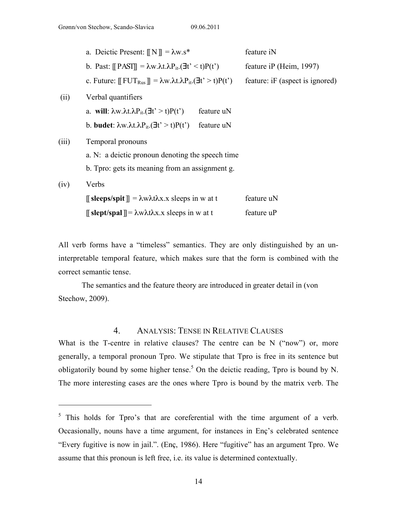|       | a. Deictic Present: $\llbracket N \rrbracket = \lambda w.s^*$                                                             |            | feature iN                      |
|-------|---------------------------------------------------------------------------------------------------------------------------|------------|---------------------------------|
|       | b. Past: $\llbracket$ PASI $\rrbracket = \lambda w. \lambda t. \lambda P_{it}. (\exists t' \le t) P(t')$                  |            | feature iP (Heim, 1997)         |
|       | c. Future: $\llbracket \text{FUT}_{\text{Rus}} \rrbracket = \lambda w. \lambda t. \lambda P_{it}. (\exists t' > t) P(t')$ |            | feature: iF (aspect is ignored) |
| (ii)  | Verbal quantifiers                                                                                                        |            |                                 |
|       | a. will: $\lambda w.\lambda t.\lambda P_{it}.(\exists t' > t)P(t')$                                                       | feature uN |                                 |
|       | b. <b>budet</b> : $\lambda w. \lambda t. \lambda P_{it}.(\exists t' > t)P(t')$                                            | feature uN |                                 |
| (iii) | Temporal pronouns                                                                                                         |            |                                 |
|       | a. N: a deictic pronoun denoting the speech time                                                                          |            |                                 |
|       | b. Tpro: gets its meaning from an assignment g.                                                                           |            |                                 |
| (iv)  | Verbs                                                                                                                     |            |                                 |
|       | $\parallel$ sleeps/spit $\parallel$ = $\lambda w \lambda t \lambda x.x$ sleeps in w at t                                  |            | feature uN                      |
|       | $[\![\text{slept/spal}]\!] = \lambda w \lambda t \lambda x.x \text{ sleeps in } w \text{ at } t$                          |            | feature uP                      |

All verb forms have a "timeless" semantics. They are only distinguished by an uninterpretable temporal feature, which makes sure that the form is combined with the correct semantic tense.

The semantics and the feature theory are introduced in greater detail in (von Stechow, 2009).

# 4. ANALYSIS: TENSE IN RELATIVE CLAUSES

What is the T-centre in relative clauses? The centre can be N ("now") or, more generally, a temporal pronoun Tpro. We stipulate that Tpro is free in its sentence but obligatorily bound by some higher tense.<sup>5</sup> On the deictic reading, Tpro is bound by N. The more interesting cases are the ones where Tpro is bound by the matrix verb. The

 $\overline{a}$ 

 $<sup>5</sup>$  This holds for Tpro's that are coreferential with the time argument of a verb.</sup> Occasionally, nouns have a time argument, for instances in Enç's celebrated sentence "Every fugitive is now in jail.". (Enç, 1986). Here "fugitive" has an argument Tpro. We assume that this pronoun is left free, i.e. its value is determined contextually.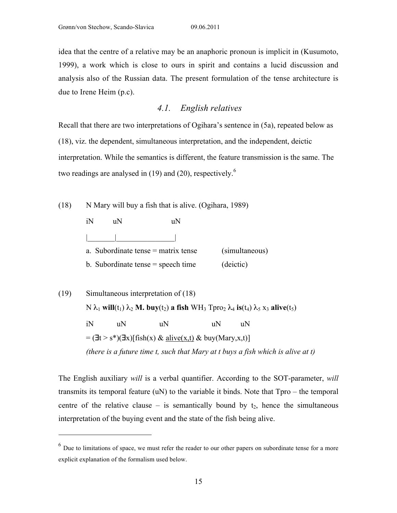$\overline{a}$ 

idea that the centre of a relative may be an anaphoric pronoun is implicit in (Kusumoto, 1999), a work which is close to ours in spirit and contains a lucid discussion and analysis also of the Russian data. The present formulation of the tense architecture is due to Irene Heim (p.c).

# *4.1. English relatives*

Recall that there are two interpretations of Ogihara's sentence in (5a), repeated below as (18), viz. the dependent, simultaneous interpretation, and the independent, deictic interpretation. While the semantics is different, the feature transmission is the same. The two readings are analysed in  $(19)$  and  $(20)$ , respectively.<sup>6</sup>

(18) N Mary will buy a fish that is alive. (Ogihara, 1989)

| 1 N | 11 N | 11 N                                  |                |
|-----|------|---------------------------------------|----------------|
|     |      |                                       |                |
|     |      | a. Subordinate tense $=$ matrix tense | (simultaneous) |
|     |      | b. Subordinate tense $=$ speech time  | (deictic)      |

(19) Simultaneous interpretation of (18)  $N$ λ<sub>1</sub> **will**(t<sub>1</sub>) λ<sub>2</sub> **M.** buy(t<sub>2</sub>) **a fish** WH<sub>3</sub> Tpro<sub>2</sub> λ<sub>4</sub> **is**(t<sub>4</sub>) λ<sub>5</sub> x<sub>3</sub> **alive**(t<sub>5</sub>) iN uN uN uN uN  $= (\exists t > s^*)(\exists x)[\text{fish}(x) \& \text{alive}(x,t) \& \text{buy}(Mary,x,t)]$ *(there is a future time t, such that Mary at t buys a fish which is alive at t)* 

The English auxiliary *will* is a verbal quantifier. According to the SOT-parameter, *will* transmits its temporal feature (uN) to the variable it binds. Note that Tpro – the temporal centre of the relative clause – is semantically bound by  $t_2$ , hence the simultaneous interpretation of the buying event and the state of the fish being alive.

 $<sup>6</sup>$  Due to limitations of space, we must refer the reader to our other papers on subordinate tense for a more</sup> explicit explanation of the formalism used below.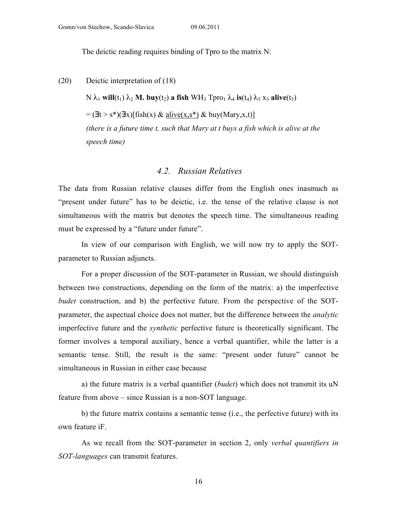The deictic reading requires binding of Tpro to the matrix N:

(20) Deictic interpretation of (18)

 $N$ λ<sub>1</sub> **will**(t<sub>1</sub>) λ<sub>2</sub> **M. buy**(t<sub>2</sub>) **a fish** WH<sub>3</sub> Tpro<sub>1</sub> λ<sub>4</sub> **is**(t<sub>4</sub>) λ<sub>5</sub> x<sub>3</sub> **alive**(t<sub>5</sub>)  $=$  ( $\exists t > s^*$ )( $\exists x$ )[fish(x) & alive(x,s<sup>\*</sup>) & buy(Mary,x,t)] *(there is a future time t, such that Mary at t buys a fish which is alive at the speech time)* 

#### *4.2. Russian Relatives*

The data from Russian relative clauses differ from the English ones inasmuch as "present under future" has to be deictic, i.e. the tense of the relative clause is not simultaneous with the matrix but denotes the speech time. The simultaneous reading must be expressed by a "future under future".

In view of our comparison with English, we will now try to apply the SOTparameter to Russian adjuncts.

For a proper discussion of the SOT-parameter in Russian, we should distinguish between two constructions, depending on the form of the matrix: a) the imperfective *budet* construction, and b) the perfective future. From the perspective of the SOTparameter, the aspectual choice does not matter, but the difference between the *analytic* imperfective future and the *synthetic* perfective future is theoretically significant. The former involves a temporal auxiliary, hence a verbal quantifier, while the latter is a semantic tense. Still, the result is the same: "present under future" cannot be simultaneous in Russian in either case because

a) the future matrix is a verbal quantifier (*budet*) which does not transmit its uN feature from above – since Russian is a non-SOT language.

b) the future matrix contains a semantic tense (i.e., the perfective future) with its own feature iF.

As we recall from the SOT-parameter in section 2, only *verbal quantifiers in SOT-languages* can transmit features.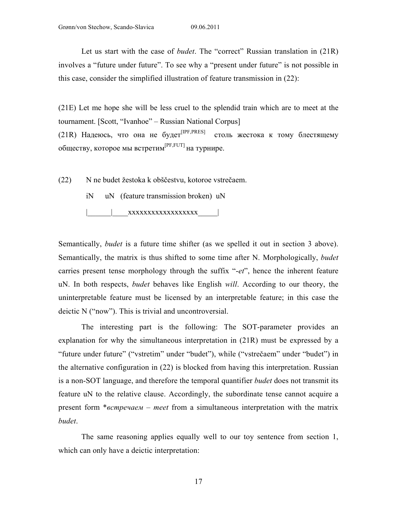Let us start with the case of *budet*. The "correct" Russian translation in (21R) involves a "future under future". To see why a "present under future" is not possible in this case, consider the simplified illustration of feature transmission in (22):

(21E) Let me hope she will be less cruel to the splendid train which are to meet at the tournament. [Scott, "Ivanhoe" – Russian National Corpus] (21R) Надеюсь, что она не будет<sup>[IPF,PRES]</sup> столь жестока к тому блестящему обществу, которое мы встретим[PF,FUT] на турнире.

(22) N ne budet žestoka k obščestvu, kotoroe vstrečaem.

iN uN (feature transmission broken) uN

|\_\_\_\_\_\_|\_\_\_\_xxxxxxxxxxxxxxxxxx\_\_\_\_\_|

Semantically, *budet* is a future time shifter (as we spelled it out in section 3 above). Semantically, the matrix is thus shifted to some time after N. Morphologically, *budet* carries present tense morphology through the suffix "-*et*", hence the inherent feature uN. In both respects, *budet* behaves like English *will*. According to our theory, the uninterpretable feature must be licensed by an interpretable feature; in this case the deictic N ("now"). This is trivial and uncontroversial.

The interesting part is the following: The SOT-parameter provides an explanation for why the simultaneous interpretation in (21R) must be expressed by a "future under future" ("vstretim" under "budet"), while ("vstrečaem" under "budet") in the alternative configuration in (22) is blocked from having this interpretation. Russian is a non-SOT language, and therefore the temporal quantifier *budet* does not transmit its feature uN to the relative clause. Accordingly, the subordinate tense cannot acquire a present form \**встречаем* – *meet* from a simultaneous interpretation with the matrix *budet*.

The same reasoning applies equally well to our toy sentence from section 1, which can only have a deictic interpretation: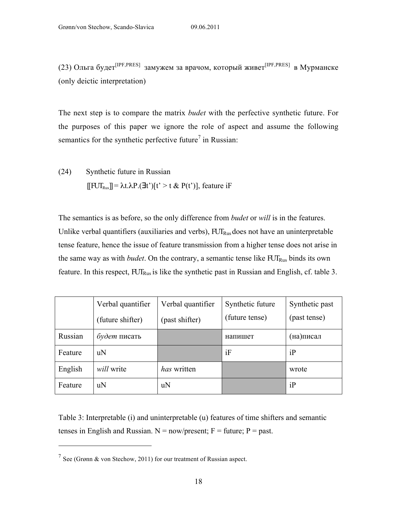(23) Ольга будет<sup>[IPF,PRES]</sup> замужем за врачом, который живет<sup>[IPF,PRES]</sup> в Мурманске (only deictic interpretation)

The next step is to compare the matrix *budet* with the perfective synthetic future. For the purposes of this paper we ignore the role of aspect and assume the following semantics for the synthetic perfective future<sup>7</sup> in Russian:

(24) Synthetic future in Russian  $[[$  FUT<sub>Rus</sub> $]] = \lambda t \cdot \lambda P \cdot (Jt')$  [t' > t & P(t')], feature iF

The semantics is as before, so the only difference from *budet* or *will* is in the features. Unlike verbal quantifiers (auxiliaries and verbs),  $FUT_{Rus}$  does not have an uninterpretable tense feature, hence the issue of feature transmission from a higher tense does not arise in the same way as with *budet*. On the contrary, a semantic tense like  $FUT_{Rus}$  binds its own feature. In this respect,  $FUT_{Rus}$  is like the synthetic past in Russian and English, cf. table 3.

|         | Verbal quantifier | Verbal quantifier | Synthetic future | Synthetic past |
|---------|-------------------|-------------------|------------------|----------------|
|         | (future shifter)  | (past shifter)    | (future tense)   | (past tense)   |
| Russian | будет писать      |                   | напишет          | (на)писал      |
| Feature | uN                |                   | iF               | iP             |
| English | will write        | has written       |                  | wrote          |
| Feature | uN                | uN                |                  | iP             |

Table 3: Interpretable (i) and uninterpretable (u) features of time shifters and semantic tenses in English and Russian.  $N = now/present$ ;  $F = future$ ;  $P = past$ .

 $\overline{a}$ 

<sup>&</sup>lt;sup>7</sup> See (Grønn & von Stechow, 2011) for our treatment of Russian aspect.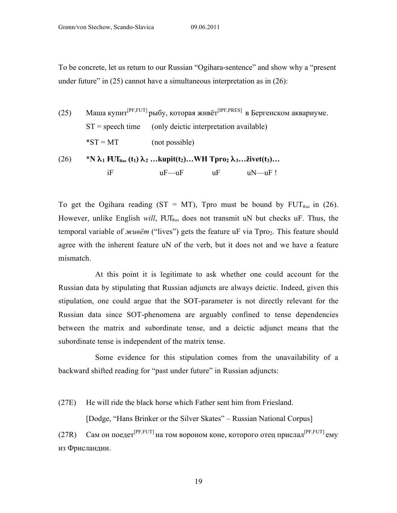To be concrete, let us return to our Russian "Ogihara-sentence" and show why a "present under future" in  $(25)$  cannot have a simultaneous interpretation as in  $(26)$ :

| (25) |                    |                                                                                                                                                            | Маша купит <sup>[PF,FUT]</sup> рыбу, которая живёт <sup>[IPF,PRES]</sup> в Бергенском аквариуме. |
|------|--------------------|------------------------------------------------------------------------------------------------------------------------------------------------------------|--------------------------------------------------------------------------------------------------|
|      | $ST$ = speech time | (only deictic interpretation available)                                                                                                                    |                                                                                                  |
|      | $^*ST = MT$        | (not possible)                                                                                                                                             |                                                                                                  |
| (26) |                    | <sup>*</sup> N $\lambda_1$ FUT <sub>Rus</sub> (t <sub>1</sub> ) $\lambda_2$ kupit(t <sub>2</sub> ) WH Tpro <sub>2</sub> $\lambda_3$ živet(t <sub>3</sub> ) |                                                                                                  |
|      | iF                 | $uF$ — $uF$<br>uF                                                                                                                                          | $uN$ — $uF!$                                                                                     |

To get the Ogihara reading (ST = MT), Tpro must be bound by  $FUT_{Rus}$  in (26). However, unlike English *will*, FUT<sub>Rus</sub> does not transmit uN but checks uF. Thus, the temporal variable of *живёт* ("lives") gets the feature uF via Tpro<sub>2</sub>. This feature should agree with the inherent feature uN of the verb, but it does not and we have a feature mismatch.

At this point it is legitimate to ask whether one could account for the Russian data by stipulating that Russian adjuncts are always deictic. Indeed, given this stipulation, one could argue that the SOT-parameter is not directly relevant for the Russian data since SOT-phenomena are arguably confined to tense dependencies between the matrix and subordinate tense, and a deictic adjunct means that the subordinate tense is independent of the matrix tense.

Some evidence for this stipulation comes from the unavailability of a backward shifted reading for "past under future" in Russian adjuncts:

(27E) He will ride the black horse which Father sent him from Friesland.

[Dodge, "Hans Brinker or the Silver Skates" – Russian National Corpus]

(27R) Сам он поедет<sup>[PF,FUT]</sup> на том вороном коне, которого отец прислал<sup>[PF,FUT]</sup> ему из Фрисландии.

19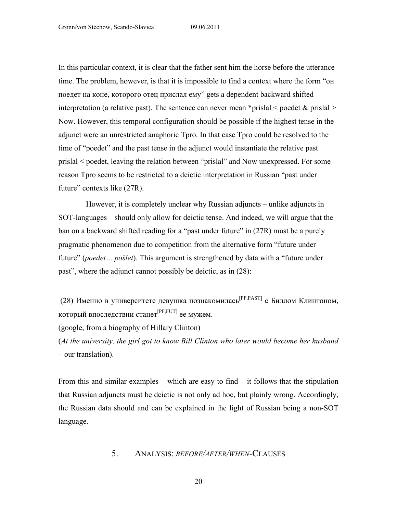In this particular context, it is clear that the father sent him the horse before the utterance time. The problem, however, is that it is impossible to find a context where the form "он поедет на коне, которого отец прислал ему" gets a dependent backward shifted interpretation (a relative past). The sentence can never mean \*prislal  $\leq$  poedet  $\&$  prislal  $\geq$ Now. However, this temporal configuration should be possible if the highest tense in the adjunct were an unrestricted anaphoric Tpro. In that case Tpro could be resolved to the time of "poedet" and the past tense in the adjunct would instantiate the relative past prislal < poedet, leaving the relation between "prislal" and Now unexpressed. For some reason Tpro seems to be restricted to a deictic interpretation in Russian "past under future" contexts like (27R).

However, it is completely unclear why Russian adjuncts – unlike adjuncts in SOT-languages – should only allow for deictic tense. And indeed, we will argue that the ban on a backward shifted reading for a "past under future" in (27R) must be a purely pragmatic phenomenon due to competition from the alternative form "future under future" (*poedet… pošlet*). This argument is strengthened by data with a "future under past", where the adjunct cannot possibly be deictic, as in (28):

(28) Именно в университете девушка познакомилась[PF,PAST] с Биллом Клинтоном, который впоследствии станет<sup>[PF,FUT]</sup> ее мужем.

(google, from a biography of Hillary Clinton)

(*At the university, the girl got to know Bill Clinton who later would become her husband* – our translation).

From this and similar examples – which are easy to find – it follows that the stipulation that Russian adjuncts must be deictic is not only ad hoc, but plainly wrong. Accordingly, the Russian data should and can be explained in the light of Russian being a non-SOT language.

# 5. ANALYSIS: *BEFORE/AFTER/WHEN-*CLAUSES

20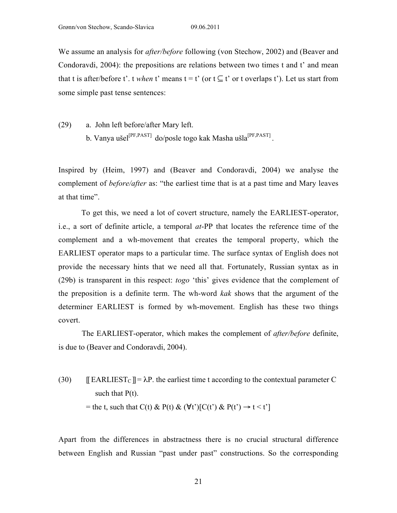We assume an analysis for *after/before* following (von Stechow, 2002) and (Beaver and Condoravdi, 2004): the prepositions are relations between two times t and t' and mean that t is after/before t'. t *when* t' means  $t = t'$  (or  $t \subseteq t'$  or t overlaps t'). Let us start from some simple past tense sentences:

(29) a. John left before/after Mary left.

b. Vanya ušel<sup>[PF,PAST]</sup> do/posle togo kak Masha ušla<sup>[PF,PAST]</sup>.

Inspired by (Heim, 1997) and (Beaver and Condoravdi, 2004) we analyse the complement of *before/after* as: "the earliest time that is at a past time and Mary leaves at that time".

To get this, we need a lot of covert structure, namely the EARLIEST-operator, i.e., a sort of definite article, a temporal *at*-PP that locates the reference time of the complement and a wh-movement that creates the temporal property, which the EARLIEST operator maps to a particular time. The surface syntax of English does not provide the necessary hints that we need all that. Fortunately, Russian syntax as in (29b) is transparent in this respect: *togo* 'this' gives evidence that the complement of the preposition is a definite term. The wh-word *kak* shows that the argument of the determiner EARLIEST is formed by wh-movement. English has these two things covert.

The EARLIEST-operator, which makes the complement of *after/before* definite, is due to (Beaver and Condoravdi, 2004).

(30)  $\mathbb{E}$  EARLIEST<sub>C</sub>  $\mathbb{I} = \lambda P$ , the earliest time t according to the contextual parameter C such that  $P(t)$ . = the t, such that C(t) & P(t) &  $(\forall t')$ [C(t') & P(t')  $\rightarrow$  t < t']

Apart from the differences in abstractness there is no crucial structural difference between English and Russian "past under past" constructions. So the corresponding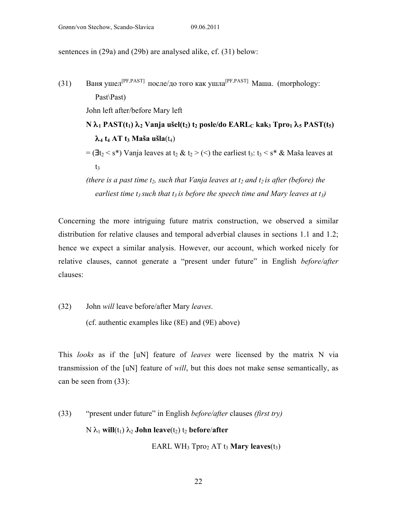sentences in (29a) and (29b) are analysed alike, cf. (31) below:

(31) Ваня ушел<sup>[PF,PAST]</sup> после/до того как ушла<sup>[PF,PAST]</sup> Маша. (morphology: Past\Past) John left after/before Mary left **N**  $\lambda_1$  **PAST(t<sub>1</sub>)**  $\lambda_2$  **Vanja ušel(t<sub>2</sub>) t<sub>2</sub> posle/do EARL<sub>C</sub> kak<sub>3</sub> <b>Tpro**<sub>1</sub>  $\lambda_5$  **PAST(t**5)  $\lambda_4$  **t<sub>4</sub> AT t**<sub>3</sub> **Maša ušla**(t<sub>4</sub>)  $=$  ( $\exists t_2 < s^*$ ) Vanja leaves at  $t_2 \& t_2 >$  (<) the earliest  $t_3$ :  $t_3 < s^* \&$  Maša leaves at  $t<sub>3</sub>$ *(there is a past time t<sub>2</sub>, such that Vanja leaves at t<sub>2</sub> and t<sub>2</sub> is after (before) the* 

*earliest time t<sub>3</sub> such that t<sub>3</sub> is before the speech time and Mary leaves at t<sub>3</sub>)* 

Concerning the more intriguing future matrix construction, we observed a similar distribution for relative clauses and temporal adverbial clauses in sections 1.1 and 1.2; hence we expect a similar analysis. However, our account, which worked nicely for relative clauses, cannot generate a "present under future" in English *before/after* clauses:

(32) John *will* leave before/after Mary *leaves*.

(cf. authentic examples like (8E) and (9E) above)

This *looks* as if the [uN] feature of *leaves* were licensed by the matrix N via transmission of the [uN] feature of *will*, but this does not make sense semantically, as can be seen from (33):

(33) "present under future" in English *before/after* clauses *(first try)*  $N \lambda_1$  **will**(t<sub>1</sub>)  $\lambda_2$  **John leave**(t<sub>2</sub>) t<sub>2</sub> **before**/**after** 

EARL WH<sub>3</sub> Tpro<sub>2</sub> AT  $t_3$  **Mary leaves** $(t_3)$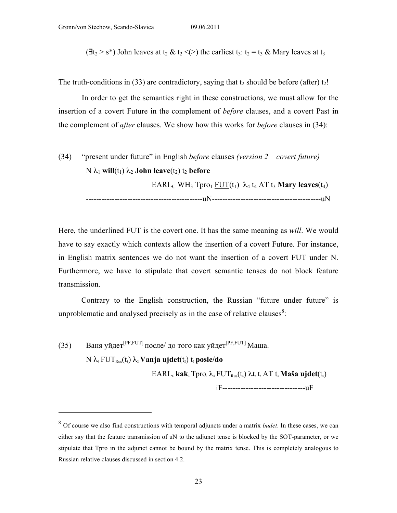$\overline{a}$ 

 $(\exists t_2 > s^*)$  John leaves at  $t_2 \& t_2 \leq (>)$  the earliest  $t_3$ :  $t_2 = t_3 \&$  Mary leaves at  $t_3$ 

The truth-conditions in (33) are contradictory, saying that  $t_2$  should be before (after)  $t_2$ !

In order to get the semantics right in these constructions, we must allow for the insertion of a covert Future in the complement of *before* clauses, and a covert Past in the complement of *after* clauses. We show how this works for *before* clauses in (34):

(34) "present under future" in English *before* clauses *(version 2 – covert future)*  $N$ λ<sub>1</sub> **will**(t<sub>1</sub>) λ<sub>2</sub> **John leave**(t<sub>2</sub>) t<sub>2</sub> **before**  $EARL<sub>C</sub> WH<sub>3</sub> Tpro<sub>1</sub> FUT(t<sub>1</sub>)  $\lambda_4$  t<sub>4</sub> AT t<sub>3</sub> Mary leaves(t<sub>4</sub>)$ ---------------------------------------------uN------------------------------------------uN

Here, the underlined FUT is the covert one. It has the same meaning as *will*. We would have to say exactly which contexts allow the insertion of a covert Future. For instance, in English matrix sentences we do not want the insertion of a covert FUT under N. Furthermore, we have to stipulate that covert semantic tenses do not block feature transmission.

Contrary to the English construction, the Russian "future under future" is unproblematic and analysed precisely as in the case of relative clauses $\delta$ :

(35) Ваня уйдет<sup>[PF,FUT]</sup> после/ до того как уйдет<sup>[PF,FUT]</sup> Маша.  $N$ λ<sub>1</sub>  $FUT<sub>Rus</sub>(t<sub>1</sub>)$ λ<sub>2</sub>  $$  $EARL_c$  kak<sub>3</sub> Tpro<sub>1</sub> $\lambda$ <sub>4</sub> FUT<sub>Rus</sub>(t<sub>4</sub>)  $\lambda$ t<sub>5</sub> t<sub>5</sub> AT t<sub>3</sub> Maša ujdet(t<sub>5</sub>)

iF--------------------------------uF

<sup>8</sup> Of course we also find constructions with temporal adjuncts under a matrix *budet*. In these cases, we can either say that the feature transmission of uN to the adjunct tense is blocked by the SOT-parameter, or we stipulate that Tpro in the adjunct cannot be bound by the matrix tense. This is completely analogous to Russian relative clauses discussed in section 4.2.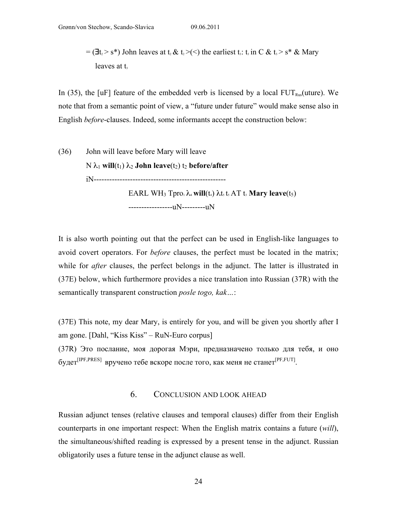$=$  ( $\exists t_1 > s^*$ ) John leaves at t<sub>2</sub> & t<sub>2</sub>>(<) the earliest t<sub>3</sub>: t<sub>3</sub> in C & t<sub>3</sub>> s<sup>\*</sup> & Mary leaves at  $t<sub>s</sub>$ 

In (35), the [uF] feature of the embedded verb is licensed by a local  $\text{FUT}_{\text{Rus}}(\text{uture})$ . We note that from a semantic point of view, a "future under future" would make sense also in English *before*-clauses. Indeed, some informants accept the construction below:

(36) John will leave before Mary will leave  $N$ λ<sub>1</sub> **will**(t<sub>1</sub>) λ<sub>2</sub> **John leave**(t<sub>2</sub>) t<sub>2</sub> **before/after** iN--------------------------------------------------- EARL WH<sub>3</sub> Tpro<sub>1</sub> $\lambda_4$  **will**(t<sub>4</sub>)  $\lambda$ t<sub>5</sub> t<sub>5</sub> AT t<sub>3</sub> **Mary leave**(t<sub>5</sub>)

-----------------uN---------uN

It is also worth pointing out that the perfect can be used in English-like languages to avoid covert operators. For *before* clauses, the perfect must be located in the matrix; while for *after* clauses, the perfect belongs in the adjunct. The latter is illustrated in (37E) below, which furthermore provides a nice translation into Russian (37R) with the semantically transparent construction *posle togo, kak…*:

(37E) This note, my dear Mary, is entirely for you, and will be given you shortly after I am gone. [Dahl, "Kiss Kiss" – RuN-Euro corpus]

(37R) Это послание, моя дорогая Мэри, предназначено только для тебя, и оно будет <sup>[IPF,PRES]</sup> вручено тебе вскоре после того, как меня не станет [PF,FUT].

#### 6. CONCLUSION AND LOOK AHEAD

Russian adjunct tenses (relative clauses and temporal clauses) differ from their English counterparts in one important respect: When the English matrix contains a future (*will*), the simultaneous/shifted reading is expressed by a present tense in the adjunct. Russian obligatorily uses a future tense in the adjunct clause as well.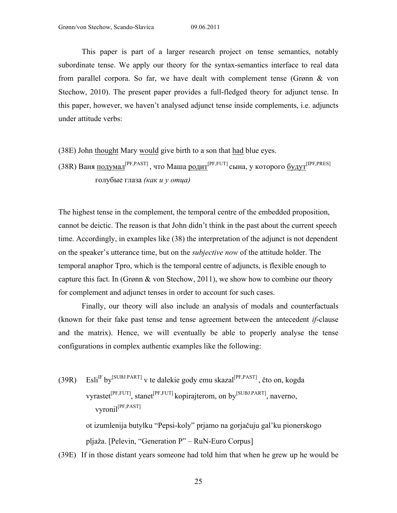This paper is part of a larger research project on tense semantics, notably subordinate tense. We apply our theory for the syntax-semantics interface to real data from parallel corpora. So far, we have dealt with complement tense (Grønn & von Stechow, 2010). The present paper provides a full-fledged theory for adjunct tense. In this paper, however, we haven't analysed adjunct tense inside complements, i.e. adjuncts under attitude verbs:

(38E) John thought Mary would give birth to a son that had blue eyes.

(38R) Ваня <u>подумал<sup>[PF,PAST]</mark>, что Маша родит<sup>[PF,FUT]</sup>сына, у которого <u>будут<sup>[IPF,PRES]</mark></u></u></sup></u></sup> голубые глаза *(как и у отца)*

The highest tense in the complement, the temporal centre of the embedded proposition, cannot be deictic. The reason is that John didn't think in the past about the current speech time. Accordingly, in examples like (38) the interpretation of the adjunct is not dependent on the speaker's utterance time, but on the *subjective now* of the attitude holder. The temporal anaphor Tpro, which is the temporal centre of adjuncts, is flexible enough to capture this fact. In (Grønn  $\&$  von Stechow, 2011), we show how to combine our theory for complement and adjunct tenses in order to account for such cases.

Finally, our theory will also include an analysis of modals and counterfactuals (known for their fake past tense and tense agreement between the antecedent *if*-clause and the matrix). Hence, we will eventually be able to properly analyse the tense configurations in complex authentic examples like the following:

 $(39R)$  $E\sin^{IF} by^{[SUBJ.PART]}$  v te dalekie gody emu skazal<sup>[PF,PAST]</sup>, čto on, kogda vyrastet<sup>[PF,FUT]</sup>, stanet<sup>[PF,FUT]</sup> kopirajterom, on by<sup>[SUBJ.PART]</sup>, naverno, vyronil[PF,PAST] ot izumlenija butylku "Pepsi-koly" prjamo na gorjačuju gal'ku pionerskogo pljaža. [Pelevin, "Generation P" – RuN-Euro Corpus]

(39E) If in those distant years someone had told him that when he grew up he would be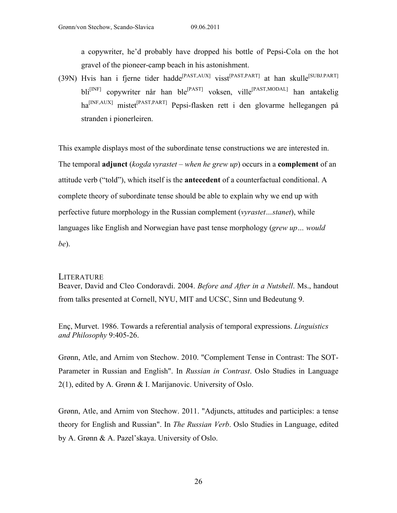a copywriter, he'd probably have dropped his bottle of Pepsi-Cola on the hot gravel of the pioneer-camp beach in his astonishment.

(39N) Hvis han i fjerne tider hadde<sup>[PAST,AUX]</sup> visst<sup>[PAST,PART]</sup> at han skulle<sup>[SUBJ,PART]</sup> bli[INF] copywriter når han ble[PAST] voksen, ville[PAST,MODAL] han antakelig ha[INF,AUX] mistet[PAST,PART] Pepsi-flasken rett i den glovarme hellegangen på stranden i pionerleiren.

This example displays most of the subordinate tense constructions we are interested in. The temporal **adjunct** (*kogda vyrastet – when he grew up*) occurs in a **complement** of an attitude verb ("told"), which itself is the **antecedent** of a counterfactual conditional. A complete theory of subordinate tense should be able to explain why we end up with perfective future morphology in the Russian complement (*vyrastet…stanet*), while languages like English and Norwegian have past tense morphology (*grew up… would be*).

### **LITERATURE**

Beaver, David and Cleo Condoravdi. 2004. *Before and After in a Nutshell*. Ms., handout from talks presented at Cornell, NYU, MIT and UCSC, Sinn und Bedeutung 9.

Enç, Murvet. 1986. Towards a referential analysis of temporal expressions. *Linguistics and Philosophy* 9:405-26.

Grønn, Atle, and Arnim von Stechow. 2010. "Complement Tense in Contrast: The SOT-Parameter in Russian and English". In *Russian in Contrast*. Oslo Studies in Language 2(1), edited by A. Grønn & I. Marijanovic. University of Oslo.

Grønn, Atle, and Arnim von Stechow. 2011. "Adjuncts, attitudes and participles: a tense theory for English and Russian". In *The Russian Verb*. Oslo Studies in Language, edited by A. Grønn & A. Pazel'skaya. University of Oslo.